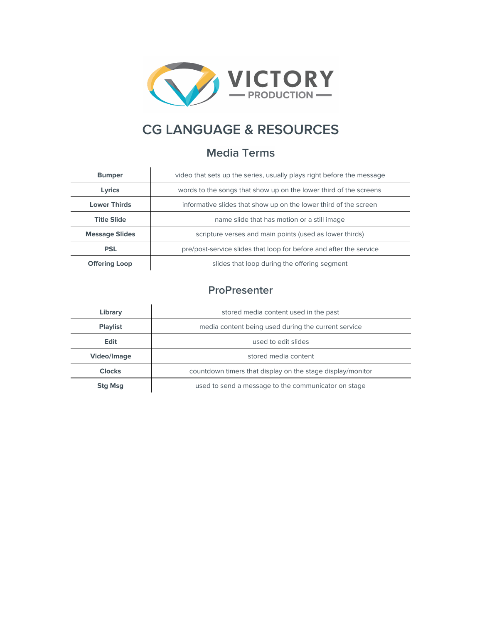

## **CG LANGUAGE & RESOURCES**

## **Media Terms**

| <b>Bumper</b>         | video that sets up the series, usually plays right before the message |
|-----------------------|-----------------------------------------------------------------------|
| Lyrics                | words to the songs that show up on the lower third of the screens     |
| <b>Lower Thirds</b>   | informative slides that show up on the lower third of the screen      |
| <b>Title Slide</b>    | name slide that has motion or a still image                           |
| <b>Message Slides</b> | scripture verses and main points (used as lower thirds)               |
| <b>PSL</b>            | pre/post-service slides that loop for before and after the service    |
| <b>Offering Loop</b>  | slides that loop during the offering segment                          |

## **ProPresenter**

| Library         | stored media content used in the past                      |
|-----------------|------------------------------------------------------------|
| <b>Playlist</b> | media content being used during the current service        |
| <b>Edit</b>     | used to edit slides                                        |
| Video/Image     | stored media content                                       |
| <b>Clocks</b>   | countdown timers that display on the stage display/monitor |
| <b>Stg Msg</b>  | used to send a message to the communicator on stage        |
|                 |                                                            |